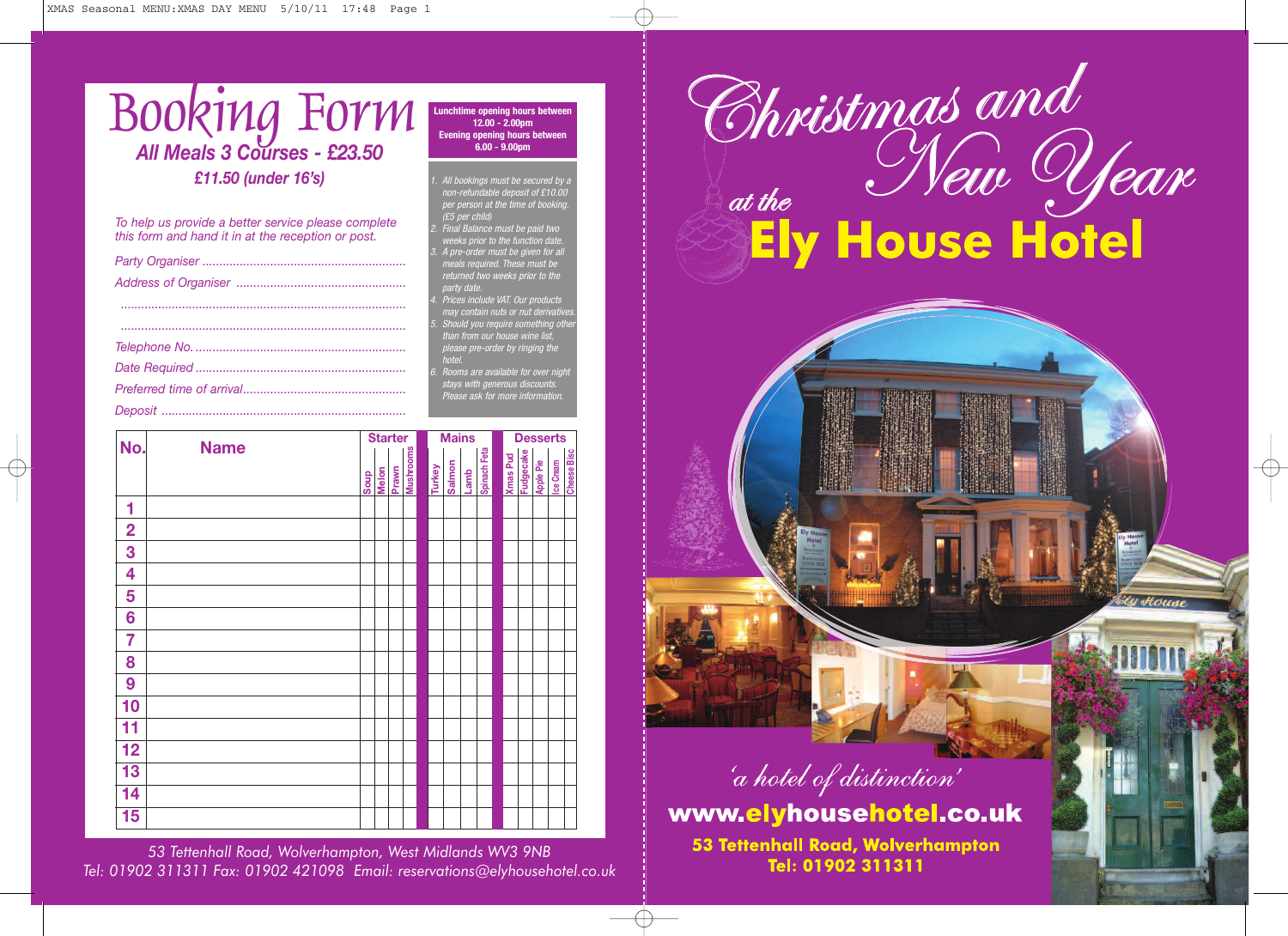| BOORING FOTM                                                                                              | Lunchtime opening hours between<br>$12.00 - 2.00$ pm<br><b>Evening opening hours between</b><br>$6.00 - 9.00$ pm | h ristmas and          |
|-----------------------------------------------------------------------------------------------------------|------------------------------------------------------------------------------------------------------------------|------------------------|
| £11.50 (under 16's)                                                                                       | All bookings must be secured by a<br>non-refundable deposit of £10.00<br>per person at the time of booking.      |                        |
| To help us provide a better service please complete<br>this form and hand it in at the reception or post. | $(E5$ per child)<br>Final Balance must be paid two<br>weeks prior to the function date.                          | <b>Ely House Hotel</b> |
|                                                                                                           | A pre-order must be given for all<br>meals required. These must be                                               |                        |
|                                                                                                           | returned two weeks prior to the<br>party date.                                                                   |                        |
|                                                                                                           | Prices include VAT. Our products<br>may contain nuts or nut derivatives.                                         |                        |
|                                                                                                           | Should you require something other<br>than from our house wine list.                                             |                        |
|                                                                                                           | please pre-order by ringing the                                                                                  |                        |
|                                                                                                           | hotel.<br>Rooms are available for over night                                                                     |                        |
|                                                                                                           | stays with generous discounts.<br>Please ask for more information.                                               |                        |
|                                                                                                           |                                                                                                                  |                        |

**Starter Mains Desserts No. Name**

*53 Tettenhall Road, Wolverhampton, West Midlands WV3 9NB Tel: 01902 311311 Fax: 01902 421098 Email: reservations@elyhousehotel.co.uk*

**Melon Soup Prawn Mushrooms Turkey**

**Lamb Salmon**

**Spinach Feta Xmas Pud Fudgecake Apple Pie Ice Cream Cheese Bisc**



y Houn

www.elyhousehotel.co.uk

53 Tettenhall Road, Wolverhampton Tel: 01902 311311